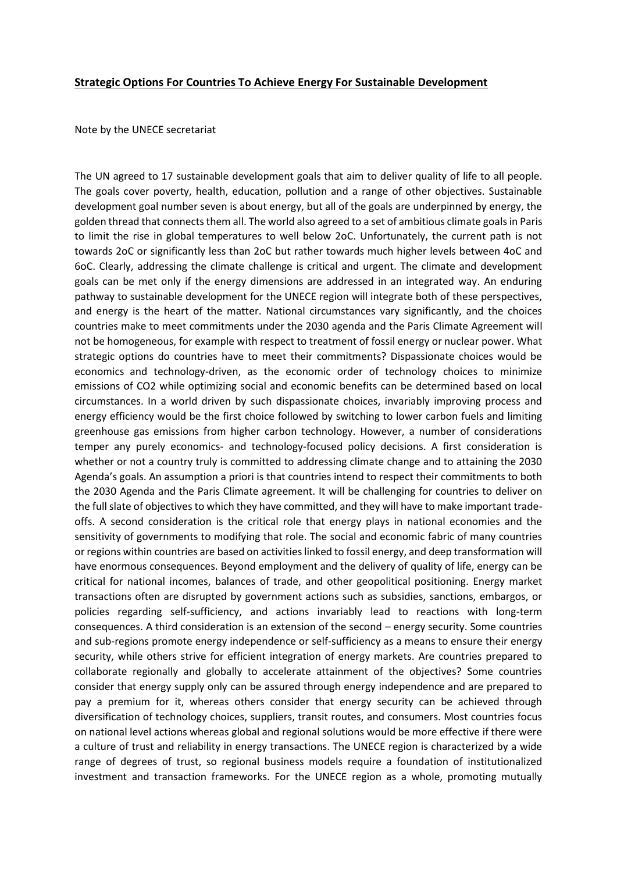## **Strategic Options For Countries To Achieve Energy For Sustainable Development**

Note by the UNECE secretariat

The UN agreed to 17 sustainable development goals that aim to deliver quality of life to all people. The goals cover poverty, health, education, pollution and a range of other objectives. Sustainable development goal number seven is about energy, but all of the goals are underpinned by energy, the golden thread that connects them all. The world also agreed to a set of ambitious climate goals in Paris to limit the rise in global temperatures to well below 2oC. Unfortunately, the current path is not towards 2oC or significantly less than 2oC but rather towards much higher levels between 4oC and 6oC. Clearly, addressing the climate challenge is critical and urgent. The climate and development goals can be met only if the energy dimensions are addressed in an integrated way. An enduring pathway to sustainable development for the UNECE region will integrate both of these perspectives, and energy is the heart of the matter. National circumstances vary significantly, and the choices countries make to meet commitments under the 2030 agenda and the Paris Climate Agreement will not be homogeneous, for example with respect to treatment of fossil energy or nuclear power. What strategic options do countries have to meet their commitments? Dispassionate choices would be economics and technology-driven, as the economic order of technology choices to minimize emissions of CO2 while optimizing social and economic benefits can be determined based on local circumstances. In a world driven by such dispassionate choices, invariably improving process and energy efficiency would be the first choice followed by switching to lower carbon fuels and limiting greenhouse gas emissions from higher carbon technology. However, a number of considerations temper any purely economics- and technology-focused policy decisions. A first consideration is whether or not a country truly is committed to addressing climate change and to attaining the 2030 Agenda's goals. An assumption a priori is that countries intend to respect their commitments to both the 2030 Agenda and the Paris Climate agreement. It will be challenging for countries to deliver on the full slate of objectives to which they have committed, and they will have to make important tradeoffs. A second consideration is the critical role that energy plays in national economies and the sensitivity of governments to modifying that role. The social and economic fabric of many countries or regions within countries are based on activities linked to fossil energy, and deep transformation will have enormous consequences. Beyond employment and the delivery of quality of life, energy can be critical for national incomes, balances of trade, and other geopolitical positioning. Energy market transactions often are disrupted by government actions such as subsidies, sanctions, embargos, or policies regarding self-sufficiency, and actions invariably lead to reactions with long-term consequences. A third consideration is an extension of the second – energy security. Some countries and sub-regions promote energy independence or self-sufficiency as a means to ensure their energy security, while others strive for efficient integration of energy markets. Are countries prepared to collaborate regionally and globally to accelerate attainment of the objectives? Some countries consider that energy supply only can be assured through energy independence and are prepared to pay a premium for it, whereas others consider that energy security can be achieved through diversification of technology choices, suppliers, transit routes, and consumers. Most countries focus on national level actions whereas global and regional solutions would be more effective if there were a culture of trust and reliability in energy transactions. The UNECE region is characterized by a wide range of degrees of trust, so regional business models require a foundation of institutionalized investment and transaction frameworks. For the UNECE region as a whole, promoting mutually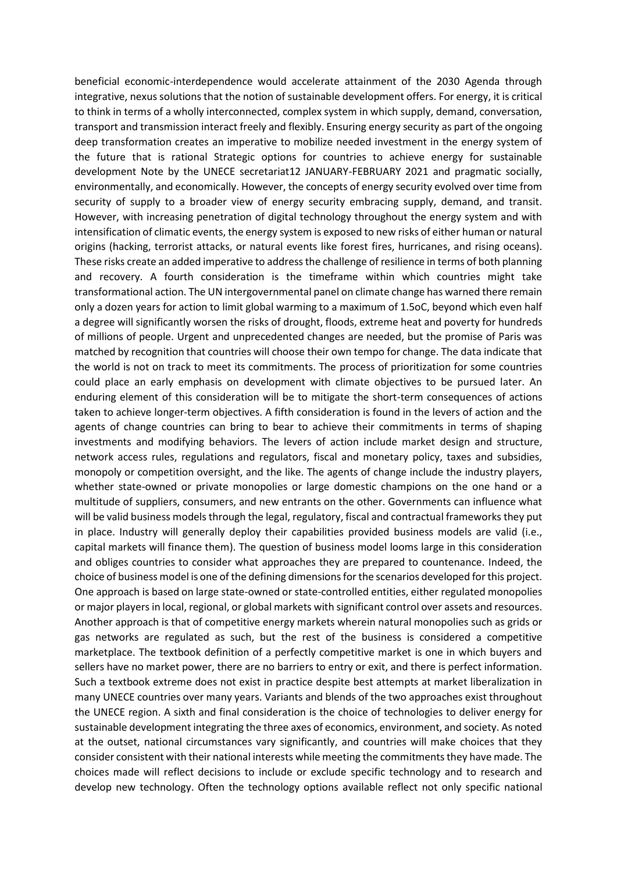beneficial economic-interdependence would accelerate attainment of the 2030 Agenda through integrative, nexus solutions that the notion of sustainable development offers. For energy, it is critical to think in terms of a wholly interconnected, complex system in which supply, demand, conversation, transport and transmission interact freely and flexibly. Ensuring energy security as part of the ongoing deep transformation creates an imperative to mobilize needed investment in the energy system of the future that is rational Strategic options for countries to achieve energy for sustainable development Note by the UNECE secretariat12 JANUARY-FEBRUARY 2021 and pragmatic socially, environmentally, and economically. However, the concepts of energy security evolved over time from security of supply to a broader view of energy security embracing supply, demand, and transit. However, with increasing penetration of digital technology throughout the energy system and with intensification of climatic events, the energy system is exposed to new risks of either human or natural origins (hacking, terrorist attacks, or natural events like forest fires, hurricanes, and rising oceans). These risks create an added imperative to address the challenge of resilience in terms of both planning and recovery. A fourth consideration is the timeframe within which countries might take transformational action. The UN intergovernmental panel on climate change has warned there remain only a dozen years for action to limit global warming to a maximum of 1.5oC, beyond which even half a degree will significantly worsen the risks of drought, floods, extreme heat and poverty for hundreds of millions of people. Urgent and unprecedented changes are needed, but the promise of Paris was matched by recognition that countries will choose their own tempo for change. The data indicate that the world is not on track to meet its commitments. The process of prioritization for some countries could place an early emphasis on development with climate objectives to be pursued later. An enduring element of this consideration will be to mitigate the short-term consequences of actions taken to achieve longer-term objectives. A fifth consideration is found in the levers of action and the agents of change countries can bring to bear to achieve their commitments in terms of shaping investments and modifying behaviors. The levers of action include market design and structure, network access rules, regulations and regulators, fiscal and monetary policy, taxes and subsidies, monopoly or competition oversight, and the like. The agents of change include the industry players, whether state-owned or private monopolies or large domestic champions on the one hand or a multitude of suppliers, consumers, and new entrants on the other. Governments can influence what will be valid business models through the legal, regulatory, fiscal and contractual frameworks they put in place. Industry will generally deploy their capabilities provided business models are valid (i.e., capital markets will finance them). The question of business model looms large in this consideration and obliges countries to consider what approaches they are prepared to countenance. Indeed, the choice of business model is one of the defining dimensions for the scenarios developed for this project. One approach is based on large state-owned or state-controlled entities, either regulated monopolies or major players in local, regional, or global markets with significant control over assets and resources. Another approach is that of competitive energy markets wherein natural monopolies such as grids or gas networks are regulated as such, but the rest of the business is considered a competitive marketplace. The textbook definition of a perfectly competitive market is one in which buyers and sellers have no market power, there are no barriers to entry or exit, and there is perfect information. Such a textbook extreme does not exist in practice despite best attempts at market liberalization in many UNECE countries over many years. Variants and blends of the two approaches exist throughout the UNECE region. A sixth and final consideration is the choice of technologies to deliver energy for sustainable development integrating the three axes of economics, environment, and society. As noted at the outset, national circumstances vary significantly, and countries will make choices that they consider consistent with their national interests while meeting the commitments they have made. The choices made will reflect decisions to include or exclude specific technology and to research and develop new technology. Often the technology options available reflect not only specific national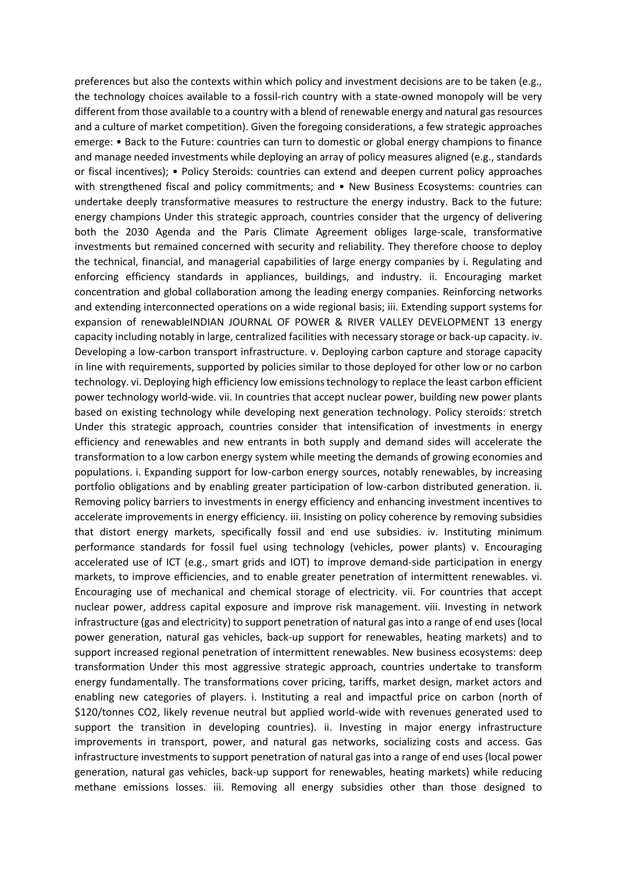preferences but also the contexts within which policy and investment decisions are to be taken (e.g., the technology choices available to a fossil-rich country with a state-owned monopoly will be very different from those available to a country with a blend of renewable energy and natural gas resources and a culture of market competition). Given the foregoing considerations, a few strategic approaches emerge: • Back to the Future: countries can turn to domestic or global energy champions to finance and manage needed investments while deploying an array of policy measures aligned (e.g., standards or fiscal incentives); • Policy Steroids: countries can extend and deepen current policy approaches with strengthened fiscal and policy commitments; and • New Business Ecosystems: countries can undertake deeply transformative measures to restructure the energy industry. Back to the future: energy champions Under this strategic approach, countries consider that the urgency of delivering both the 2030 Agenda and the Paris Climate Agreement obliges large-scale, transformative investments but remained concerned with security and reliability. They therefore choose to deploy the technical, financial, and managerial capabilities of large energy companies by i. Regulating and enforcing efficiency standards in appliances, buildings, and industry. ii. Encouraging market concentration and global collaboration among the leading energy companies. Reinforcing networks and extending interconnected operations on a wide regional basis; iii. Extending support systems for expansion of renewableINDIAN JOURNAL OF POWER & RIVER VALLEY DEVELOPMENT 13 energy capacity including notably in large, centralized facilities with necessary storage or back-up capacity. iv. Developing a low-carbon transport infrastructure. v. Deploying carbon capture and storage capacity in line with requirements, supported by policies similar to those deployed for other low or no carbon technology. vi. Deploying high efficiency low emissions technology to replace the least carbon efficient power technology world-wide. vii. In countries that accept nuclear power, building new power plants based on existing technology while developing next generation technology. Policy steroids: stretch Under this strategic approach, countries consider that intensification of investments in energy efficiency and renewables and new entrants in both supply and demand sides will accelerate the transformation to a low carbon energy system while meeting the demands of growing economies and populations. i. Expanding support for low-carbon energy sources, notably renewables, by increasing portfolio obligations and by enabling greater participation of low-carbon distributed generation. ii. Removing policy barriers to investments in energy efficiency and enhancing investment incentives to accelerate improvements in energy efficiency. iii. Insisting on policy coherence by removing subsidies that distort energy markets, specifically fossil and end use subsidies. iv. Instituting minimum performance standards for fossil fuel using technology (vehicles, power plants) v. Encouraging accelerated use of ICT (e.g., smart grids and IOT) to improve demand-side participation in energy markets, to improve efficiencies, and to enable greater penetration of intermittent renewables. vi. Encouraging use of mechanical and chemical storage of electricity. vii. For countries that accept nuclear power, address capital exposure and improve risk management. viii. Investing in network infrastructure (gas and electricity) to support penetration of natural gas into a range of end uses (local power generation, natural gas vehicles, back-up support for renewables, heating markets) and to support increased regional penetration of intermittent renewables. New business ecosystems: deep transformation Under this most aggressive strategic approach, countries undertake to transform energy fundamentally. The transformations cover pricing, tariffs, market design, market actors and enabling new categories of players. i. Instituting a real and impactful price on carbon (north of \$120/tonnes CO2, likely revenue neutral but applied world-wide with revenues generated used to support the transition in developing countries). ii. Investing in major energy infrastructure improvements in transport, power, and natural gas networks, socializing costs and access. Gas infrastructure investments to support penetration of natural gas into a range of end uses (local power generation, natural gas vehicles, back-up support for renewables, heating markets) while reducing methane emissions losses. iii. Removing all energy subsidies other than those designed to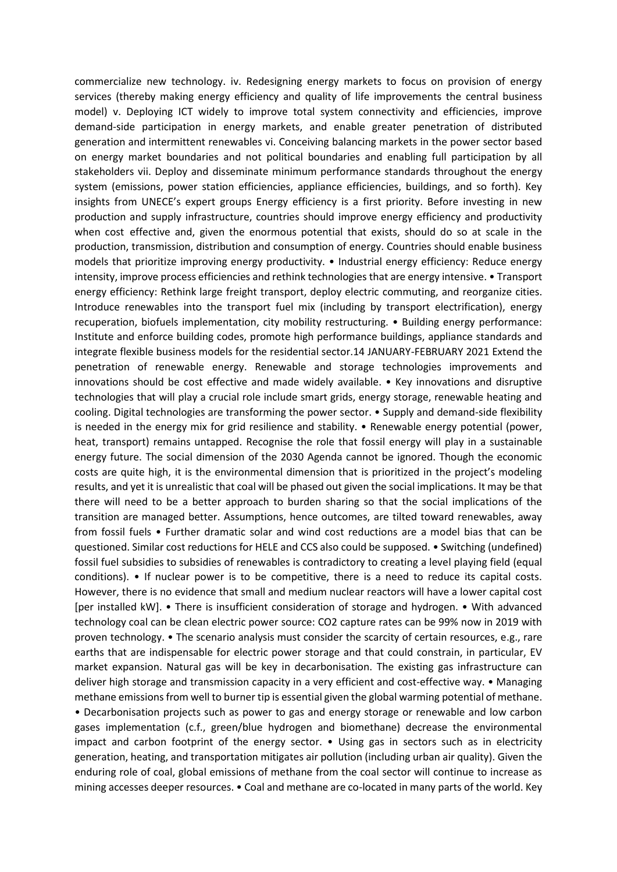commercialize new technology. iv. Redesigning energy markets to focus on provision of energy services (thereby making energy efficiency and quality of life improvements the central business model) v. Deploying ICT widely to improve total system connectivity and efficiencies, improve demand-side participation in energy markets, and enable greater penetration of distributed generation and intermittent renewables vi. Conceiving balancing markets in the power sector based on energy market boundaries and not political boundaries and enabling full participation by all stakeholders vii. Deploy and disseminate minimum performance standards throughout the energy system (emissions, power station efficiencies, appliance efficiencies, buildings, and so forth). Key insights from UNECE's expert groups Energy efficiency is a first priority. Before investing in new production and supply infrastructure, countries should improve energy efficiency and productivity when cost effective and, given the enormous potential that exists, should do so at scale in the production, transmission, distribution and consumption of energy. Countries should enable business models that prioritize improving energy productivity. • Industrial energy efficiency: Reduce energy intensity, improve process efficiencies and rethink technologies that are energy intensive. • Transport energy efficiency: Rethink large freight transport, deploy electric commuting, and reorganize cities. Introduce renewables into the transport fuel mix (including by transport electrification), energy recuperation, biofuels implementation, city mobility restructuring. • Building energy performance: Institute and enforce building codes, promote high performance buildings, appliance standards and integrate flexible business models for the residential sector.14 JANUARY-FEBRUARY 2021 Extend the penetration of renewable energy. Renewable and storage technologies improvements and innovations should be cost effective and made widely available. • Key innovations and disruptive technologies that will play a crucial role include smart grids, energy storage, renewable heating and cooling. Digital technologies are transforming the power sector. • Supply and demand-side flexibility is needed in the energy mix for grid resilience and stability. • Renewable energy potential (power, heat, transport) remains untapped. Recognise the role that fossil energy will play in a sustainable energy future. The social dimension of the 2030 Agenda cannot be ignored. Though the economic costs are quite high, it is the environmental dimension that is prioritized in the project's modeling results, and yet it is unrealistic that coal will be phased out given the social implications. It may be that there will need to be a better approach to burden sharing so that the social implications of the transition are managed better. Assumptions, hence outcomes, are tilted toward renewables, away from fossil fuels • Further dramatic solar and wind cost reductions are a model bias that can be questioned. Similar cost reductions for HELE and CCS also could be supposed. • Switching (undefined) fossil fuel subsidies to subsidies of renewables is contradictory to creating a level playing field (equal conditions). • If nuclear power is to be competitive, there is a need to reduce its capital costs. However, there is no evidence that small and medium nuclear reactors will have a lower capital cost [per installed kW]. • There is insufficient consideration of storage and hydrogen. • With advanced technology coal can be clean electric power source: CO2 capture rates can be 99% now in 2019 with proven technology. • The scenario analysis must consider the scarcity of certain resources, e.g., rare earths that are indispensable for electric power storage and that could constrain, in particular, EV market expansion. Natural gas will be key in decarbonisation. The existing gas infrastructure can deliver high storage and transmission capacity in a very efficient and cost-effective way. • Managing methane emissions from well to burner tip is essential given the global warming potential of methane. • Decarbonisation projects such as power to gas and energy storage or renewable and low carbon gases implementation (c.f., green/blue hydrogen and biomethane) decrease the environmental impact and carbon footprint of the energy sector.  $\bullet$  Using gas in sectors such as in electricity generation, heating, and transportation mitigates air pollution (including urban air quality). Given the enduring role of coal, global emissions of methane from the coal sector will continue to increase as mining accesses deeper resources. • Coal and methane are co-located in many parts of the world. Key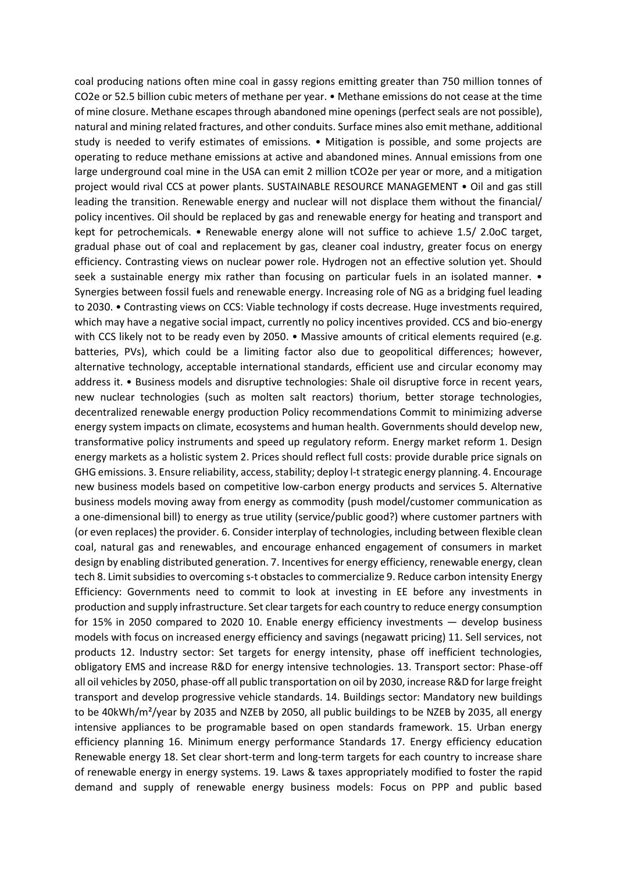coal producing nations often mine coal in gassy regions emitting greater than 750 million tonnes of CO2e or 52.5 billion cubic meters of methane per year. • Methane emissions do not cease at the time of mine closure. Methane escapes through abandoned mine openings (perfect seals are not possible), natural and mining related fractures, and other conduits. Surface mines also emit methane, additional study is needed to verify estimates of emissions. • Mitigation is possible, and some projects are operating to reduce methane emissions at active and abandoned mines. Annual emissions from one large underground coal mine in the USA can emit 2 million tCO2e per year or more, and a mitigation project would rival CCS at power plants. SUSTAINABLE RESOURCE MANAGEMENT • Oil and gas still leading the transition. Renewable energy and nuclear will not displace them without the financial/ policy incentives. Oil should be replaced by gas and renewable energy for heating and transport and kept for petrochemicals. • Renewable energy alone will not suffice to achieve 1.5/ 2.0oC target, gradual phase out of coal and replacement by gas, cleaner coal industry, greater focus on energy efficiency. Contrasting views on nuclear power role. Hydrogen not an effective solution yet. Should seek a sustainable energy mix rather than focusing on particular fuels in an isolated manner. • Synergies between fossil fuels and renewable energy. Increasing role of NG as a bridging fuel leading to 2030. • Contrasting views on CCS: Viable technology if costs decrease. Huge investments required, which may have a negative social impact, currently no policy incentives provided. CCS and bio-energy with CCS likely not to be ready even by 2050. • Massive amounts of critical elements required (e.g. batteries, PVs), which could be a limiting factor also due to geopolitical differences; however, alternative technology, acceptable international standards, efficient use and circular economy may address it. • Business models and disruptive technologies: Shale oil disruptive force in recent years, new nuclear technologies (such as molten salt reactors) thorium, better storage technologies, decentralized renewable energy production Policy recommendations Commit to minimizing adverse energy system impacts on climate, ecosystems and human health. Governments should develop new, transformative policy instruments and speed up regulatory reform. Energy market reform 1. Design energy markets as a holistic system 2. Prices should reflect full costs: provide durable price signals on GHG emissions. 3. Ensure reliability, access, stability; deploy l-t strategic energy planning. 4. Encourage new business models based on competitive low-carbon energy products and services 5. Alternative business models moving away from energy as commodity (push model/customer communication as a one-dimensional bill) to energy as true utility (service/public good?) where customer partners with (or even replaces) the provider. 6. Consider interplay of technologies, including between flexible clean coal, natural gas and renewables, and encourage enhanced engagement of consumers in market design by enabling distributed generation. 7. Incentives for energy efficiency, renewable energy, clean tech 8. Limit subsidies to overcoming s-t obstacles to commercialize 9. Reduce carbon intensity Energy Efficiency: Governments need to commit to look at investing in EE before any investments in production and supply infrastructure. Set clear targets for each country to reduce energy consumption for 15% in 2050 compared to 2020 10. Enable energy efficiency investments — develop business models with focus on increased energy efficiency and savings (negawatt pricing) 11. Sell services, not products 12. Industry sector: Set targets for energy intensity, phase off inefficient technologies, obligatory EMS and increase R&D for energy intensive technologies. 13. Transport sector: Phase-off all oil vehicles by 2050, phase-off all public transportation on oil by 2030, increase R&D for large freight transport and develop progressive vehicle standards. 14. Buildings sector: Mandatory new buildings to be 40kWh/m²/year by 2035 and NZEB by 2050, all public buildings to be NZEB by 2035, all energy intensive appliances to be programable based on open standards framework. 15. Urban energy efficiency planning 16. Minimum energy performance Standards 17. Energy efficiency education Renewable energy 18. Set clear short-term and long-term targets for each country to increase share of renewable energy in energy systems. 19. Laws & taxes appropriately modified to foster the rapid demand and supply of renewable energy business models: Focus on PPP and public based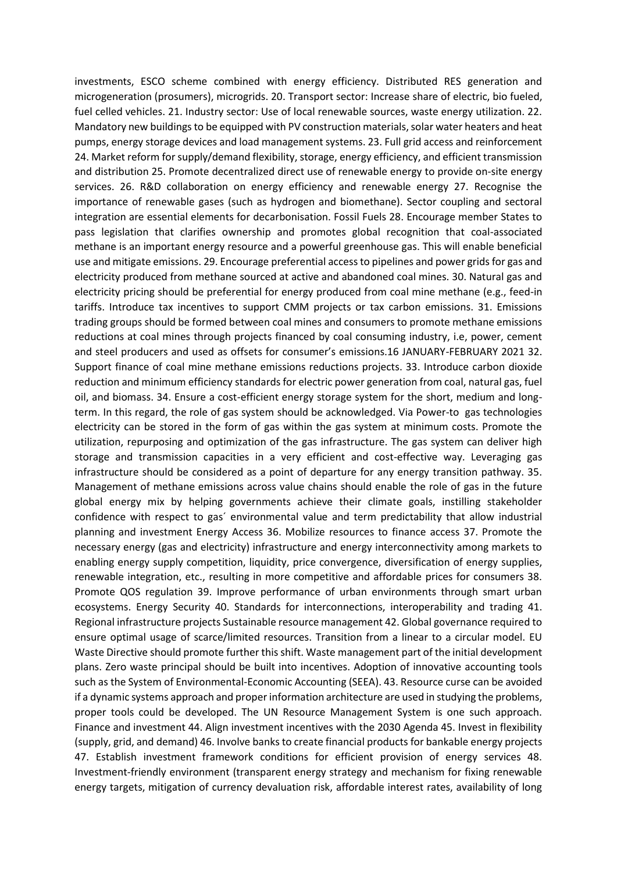investments, ESCO scheme combined with energy efficiency. Distributed RES generation and microgeneration (prosumers), microgrids. 20. Transport sector: Increase share of electric, bio fueled, fuel celled vehicles. 21. Industry sector: Use of local renewable sources, waste energy utilization. 22. Mandatory new buildings to be equipped with PV construction materials, solar water heaters and heat pumps, energy storage devices and load management systems. 23. Full grid access and reinforcement 24. Market reform for supply/demand flexibility, storage, energy efficiency, and efficient transmission and distribution 25. Promote decentralized direct use of renewable energy to provide on-site energy services. 26. R&D collaboration on energy efficiency and renewable energy 27. Recognise the importance of renewable gases (such as hydrogen and biomethane). Sector coupling and sectoral integration are essential elements for decarbonisation. Fossil Fuels 28. Encourage member States to pass legislation that clarifies ownership and promotes global recognition that coal-associated methane is an important energy resource and a powerful greenhouse gas. This will enable beneficial use and mitigate emissions. 29. Encourage preferential access to pipelines and power grids for gas and electricity produced from methane sourced at active and abandoned coal mines. 30. Natural gas and electricity pricing should be preferential for energy produced from coal mine methane (e.g., feed-in tariffs. Introduce tax incentives to support CMM projects or tax carbon emissions. 31. Emissions trading groups should be formed between coal mines and consumers to promote methane emissions reductions at coal mines through projects financed by coal consuming industry, i.e, power, cement and steel producers and used as offsets for consumer's emissions.16 JANUARY-FEBRUARY 2021 32. Support finance of coal mine methane emissions reductions projects. 33. Introduce carbon dioxide reduction and minimum efficiency standards for electric power generation from coal, natural gas, fuel oil, and biomass. 34. Ensure a cost-efficient energy storage system for the short, medium and longterm. In this regard, the role of gas system should be acknowledged. Via Power-to gas technologies electricity can be stored in the form of gas within the gas system at minimum costs. Promote the utilization, repurposing and optimization of the gas infrastructure. The gas system can deliver high storage and transmission capacities in a very efficient and cost-effective way. Leveraging gas infrastructure should be considered as a point of departure for any energy transition pathway. 35. Management of methane emissions across value chains should enable the role of gas in the future global energy mix by helping governments achieve their climate goals, instilling stakeholder confidence with respect to gas´ environmental value and term predictability that allow industrial planning and investment Energy Access 36. Mobilize resources to finance access 37. Promote the necessary energy (gas and electricity) infrastructure and energy interconnectivity among markets to enabling energy supply competition, liquidity, price convergence, diversification of energy supplies, renewable integration, etc., resulting in more competitive and affordable prices for consumers 38. Promote QOS regulation 39. Improve performance of urban environments through smart urban ecosystems. Energy Security 40. Standards for interconnections, interoperability and trading 41. Regional infrastructure projects Sustainable resource management 42. Global governance required to ensure optimal usage of scarce/limited resources. Transition from a linear to a circular model. EU Waste Directive should promote further this shift. Waste management part of the initial development plans. Zero waste principal should be built into incentives. Adoption of innovative accounting tools such as the System of Environmental-Economic Accounting (SEEA). 43. Resource curse can be avoided if a dynamic systems approach and proper information architecture are used in studying the problems, proper tools could be developed. The UN Resource Management System is one such approach. Finance and investment 44. Align investment incentives with the 2030 Agenda 45. Invest in flexibility (supply, grid, and demand) 46. Involve banks to create financial products for bankable energy projects 47. Establish investment framework conditions for efficient provision of energy services 48. Investment-friendly environment (transparent energy strategy and mechanism for fixing renewable energy targets, mitigation of currency devaluation risk, affordable interest rates, availability of long